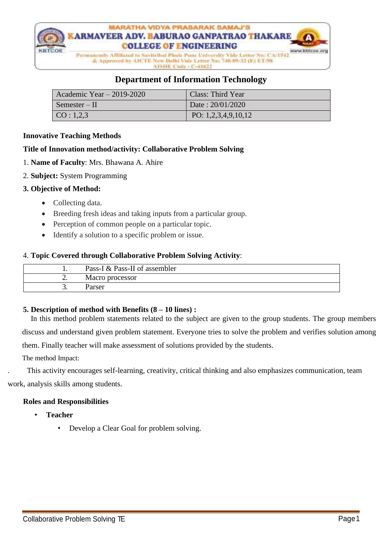

# **Department of Information Technology**

| Academic Year $-2019-2020$ | Class: Third Year     |
|----------------------------|-----------------------|
| Semester – II              | Date: 20/01/2020      |
| $\vert$ CO : 1,2,3         | PO: $1,2,3,4,9,10,12$ |

# **Innovative Teaching Methods**

# **Title of Innovation method/activity: Collaborative Problem Solving**

- 1. **Name of Faculty**: Mrs. Bhawana A. Ahire
- 2. **Subject:** System Programming

# **3. Objective of Method:**

- Collecting data.
- Breeding fresh ideas and taking inputs from a particular group.
- Perception of common people on a particular topic.
- Identify a solution to a specific problem or issue.

# 4. **Topic Covered through Collaborative Problem Solving Activity**:

|          | Pass-I & Pass-II of assembler |
|----------|-------------------------------|
| <u>.</u> | Macro processor               |
|          | Parser                        |

# **5. Description of method with Benefits (8 – 10 lines) :**

In this method problem statements related to the subject are given to the group students. The group members discuss and understand given problem statement. Everyone tries to solve the problem and verifies solution among them. Finally teacher will make assessment of solutions provided by the students.

The method Impact:

. This activity encourages self-learning, creativity, critical thinking and also emphasizes communication, team work, analysis skills among students.

#### **Roles and Responsibilities**

- **Teacher**
	- Develop a Clear Goal for problem solving.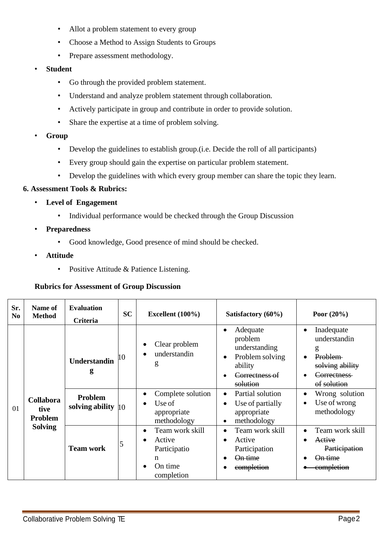- Allot a problem statement to every group
- Choose a Method to Assign Students to Groups
- Prepare assessment methodology.
- **Student**
	- Go through the provided problem statement.
	- Understand and analyze problem statement through collaboration.
	- Actively participate in group and contribute in order to provide solution.
	- Share the expertise at a time of problem solving.
- **Group**
	- Develop the guidelines to establish group.(i.e. Decide the roll of all participants)
	- Every group should gain the expertise on particular problem statement.
	- Develop the guidelines with which every group member can share the topic they learn.

# **6. Assessment Tools & Rubrics:**

- **Level of Engagement**
	- Individual performance would be checked through the Group Discussion
- **Preparedness**
	- Good knowledge, Good presence of mind should be checked.
- **Attitude**
	- Positive Attitude & Patience Listening.

# **Rubrics for Assessment of Group Discussion**

| Sr.<br>N <sub>0</sub> | Name of<br><b>Method</b>                   | <b>Evaluation</b><br>Criteria           | <b>SC</b> | Excellent $(100\%)$                                                     | Satisfactory (60%)                                                                               | Poor $(20\%)$                                                                                                    |
|-----------------------|--------------------------------------------|-----------------------------------------|-----------|-------------------------------------------------------------------------|--------------------------------------------------------------------------------------------------|------------------------------------------------------------------------------------------------------------------|
|                       |                                            | <b>Understandin</b><br>g                |           | Clear problem<br>understandin<br>g                                      | Adequate<br>problem<br>understanding<br>Problem solving<br>ability<br>Correctness of<br>solution | Inadequate<br>$\bullet$<br>understandin<br>g<br><b>Problem</b><br>solving ability<br>Correctness-<br>of solution |
| 01                    | <b>Collabora</b><br>tive<br><b>Problem</b> | Problem<br>solving ability $ 10\rangle$ |           | Complete solution<br>Use of<br>appropriate<br>methodology               | Partial solution<br>$\bullet$<br>Use of partially<br>appropriate<br>methodology<br>٠             | Wrong solution<br>٠<br>Use of wrong<br>$\bullet$<br>methodology                                                  |
|                       | <b>Solving</b>                             | <b>Team work</b>                        | 5         | Team work skill<br>Active<br>Participatio<br>n<br>On time<br>completion | Team work skill<br>Active<br>Participation<br><del>On time</del><br>completion                   | Team work skill<br>$\bullet$<br>Active<br>Participation<br><del>On time</del><br><del>completion</del>           |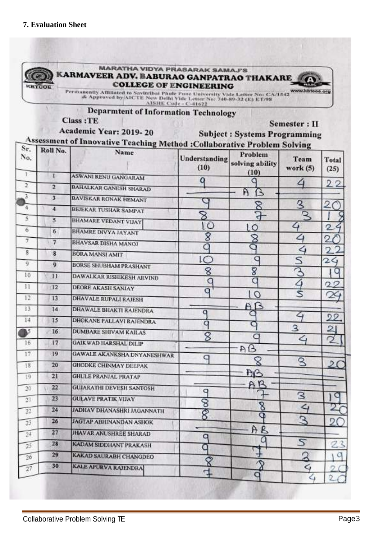7

 $\boldsymbol{8}$ 

9

 $10$ 

 $11$ 

 $12$ 

 $33$ 

 $14$ 

BS.

16

17

18

19

 $20$ 

 $21$ 

 $\overline{22}$ 

 $23$ 

 $24$ 

 $\overline{25}$ 

 $26$ 

 $\overline{27}$ 

 $\overline{7}$ 

 $\overline{\mathbf{8}}$ 

9

 $11$ 

 $12$ 

 $13$ 

 $14$ 

 $\overline{15}$ 

16

 $17$ 

19

20

 $\overline{21}$ 

 $\overline{22}$ 

 $23$ 

24

 $26$ 

 $\overline{27}$ 

28

29

30

**BHAVSAR DISHA MANOJ** 

**DEORE AKASH SANJAY** 

**DHAVALE RUPALI RAJESH** 

DHAWALE BHAKTI RAJENDRA

DHOKANE PALLAVI RAJENDRA

**GAWALE AKANKSHA DNYANESHWAR** 

**DUMBARE SHIVAM KAILAS** 

**GAIK WAD HARSHAL DILIP** 

**GHODKE CHINMAY DEEPAK** 

**GUJARATHI DEVE\$H SANTOSH** 

**JAGTAP ABHINANDAN ASHOK** 

**JHAVAR ANUSHREE SHARAD** 

**KADAM SIDDHANT PRAKASH** 

KAKAD SAURABH CHANGDEO

**KALE APURVA RAJENDRA** 

JADHAV DHANASHRI JAGANNATH

**GHULE PRANJAL PRATAP** 

**GULAVE PRATIK VIJAY** 

**BORSE SHUBHAM PRASHANT** 

DAWALKAR RISHIKESH ARVIND

**BORA MANSI AMIT** 



C

ιc

8

C

q

 $\overline{a}$ 

q

8

q

q

೪

 $\overline{g}$ 

 $\circ$ 

O

 $\mathcal{R}$ 

d

 $^{\circ}$ 

a

 $\bar{8}$ 

C

 $\circ$ 

 $AB$ 

Q

 $AG$ 

C

**AB** 

AR

8

Q

C

A R

C

4

⊲

5

 $\overline{a}$ 

△

⋖

3

4

Q

З

ے

 $\mathcal{L}$ 

S

⊲

2

2

24

 $22$ 

22

 $\overline{2}$ 

 $\overline{2}$ 

C

D

a

ö

0

a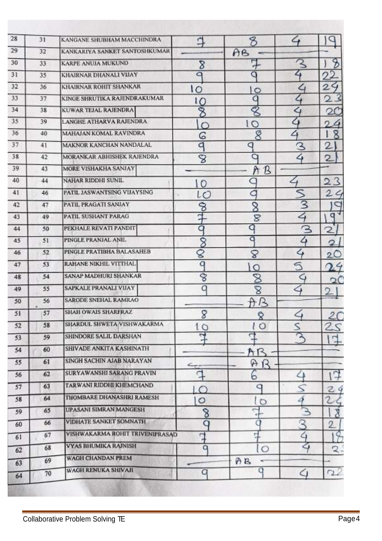| 28 | 31 | KANGANE SHUBHAM MACCHINDRA             | ₫              | 8                       | ے                        |                |
|----|----|----------------------------------------|----------------|-------------------------|--------------------------|----------------|
| 29 | 32 | KANKARIYA SANKET SANTOSHKUMAR          |                | AB                      |                          |                |
| 30 | 33 | KARPE ANUJA MUKUND                     | 8              | Ę                       |                          | z              |
| 31 | 35 | KHAIRNAR DHANALI VIJAY                 | a              | Q                       | 4                        |                |
| 32 | 36 | KHAIRNAR ROHIT SHANKAR                 | ١o             | $\circ$                 | ৴                        | 2              |
| 33 | 37 | KINGE SHRUTIKA RAJENDRAKUMAR           | ΙO             | q                       |                          | 2              |
| 34 | 38 | KUWAR TEJAL RAJENDRA                   | 8              | 8                       | ৴                        | $\mathbf{Q}$   |
| 35 | 39 | <b>LANGHE ATHARVA RAJENDRA</b>         | $\bigcap$      | 10                      | $\overline{a}$           | σ              |
| 36 | 40 | MAHAJAN KOMAL RAVINDRA                 | G              | 8                       | 4                        | 8              |
| 37 | 41 | <b>MAKNOR KANCHAN NANDALAL</b>         | d              | q                       | З                        | 2              |
| 38 | 42 | MORANKAR ABHISHEK RAJENDRA             | 8              | a                       | $\blacktriangleleft$     | 2              |
| 39 | 43 | MORE VISHAKHA SANJAY                   |                | ħ<br>B                  |                          |                |
| 40 | 44 | NAHAR RIDDHI SUNIL                     | 10             |                         |                          |                |
| 41 | 46 | PATIL JASWANTSING VIJAYSING            | LO             | a                       | ↖                        | $\overline{2}$ |
| 42 | 47 | PATIL PRAGATI SANJAY                   | 8              | 8                       | 3                        |                |
| 43 | 49 | PATIL SUSHANT PARAG                    | q              | 8                       | $\overline{4}$           | a              |
| 44 | 50 | PEKHALE REVATI PANDIT                  | a              | q                       | З                        | 2              |
| 45 | 51 | PINGLE PRANJAL ANIL                    | $\overline{8}$ | a                       | 4                        | 2              |
| 46 | 52 | PINGLE PRATIBHA BALASAHEB              | q              | S                       | 4                        | $\overline{2}$ |
| 47 | 53 | RAHANE NIKHIL VITTHAL                  | q              | $\circ$                 | วิ                       |                |
| 48 | 54 | <b>SANAP MADHURI SHANKAR</b>           | 8              | $\overline{\mathbb{8}}$ | G                        | $\mathcal{L}$  |
| 49 | 55 | SAPKALE PRANALI VIJAY                  | Q              | S                       | ⇦                        |                |
| 50 | 56 | <b>SARODE SNEHAL RAMRAO</b>            |                | A<br>ß                  |                          |                |
| 51 | 57 | <b>SHAH OWAIS SHARFRAZ</b>             | 8              | ę                       | $\hookrightarrow$        | 2C             |
| 52 | 58 | SHARDUL SHWETA VISHWAKARMA             | 10             | 10                      | S                        |                |
| 53 | 59 | SHINDORE SALIL DARSHAN                 | $\mathbf{d}$   | ្ម                      | $\overline{\mathcal{E}}$ |                |
| 54 | 60 | SHIVADE ANKITA KASHINATH               |                | AR                      |                          |                |
| 55 | 61 | SINGH SACHIN AJAB NARAYAN              |                | $A$ $B$                 |                          |                |
| 56 | 62 | <b>SURYAWANSHI SARANG PRAVIN</b>       | đ              | 6                       | △                        |                |
| 57 | 63 | TARWANI RIDDHI KHEMCHAND               | $\circ$        | q                       |                          | 24             |
| 58 | 64 | <b>THOMBARE DHANASHRI RAMESH</b>       | $\circ$        | $\circ$                 | 4                        |                |
| 59 | 65 | <b>UPASANI SIMRAN MANGESH</b>          | 8              | 7                       |                          |                |
| 60 | 66 | <b>VIDHATE SANKET SOMNATH</b>          | a              | O                       | 3                        |                |
| 61 | 67 | <b>VISHWAKARMA ROHIT TRIVENIPRASAD</b> | F              | 디                       | $\mathsf{Q}$             |                |
|    | 68 | <b>VYAS BHUMIKA RAJNISH</b>            | q              | lo                      |                          | 2.             |
| 62 | 69 | WAGH CHANDAN PREM                      |                | AB                      |                          |                |
| 63 |    | WAGH RENUKA SHIVAJI                    | q              | q                       |                          | 72             |
| 64 | 70 |                                        |                |                         |                          |                |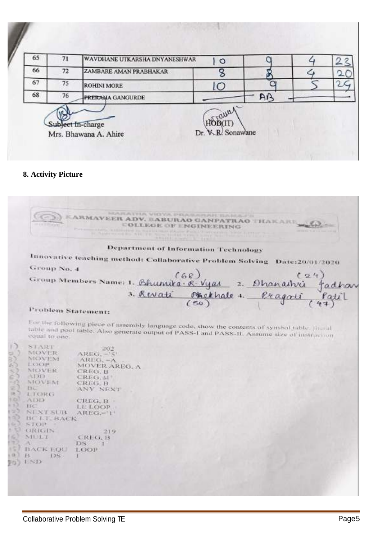| 65 | 71 | WAVDHANE UTKARSHA DNYANESHWAR              | $\circ$                      |    |  |
|----|----|--------------------------------------------|------------------------------|----|--|
| 66 | 72 | ZAMBARE AMAN PRABHAKAR                     |                              |    |  |
| 67 | 75 | <b>ROHINI MORE</b>                         | C                            |    |  |
| 68 | 76 | PRERAMA GANGURDE                           |                              | AP |  |
|    |    | Subject In-charge<br>Mrs. Bhawana A. Ahire | Trauan<br>Dr. V. R. Sonawane |    |  |

#### **8. Activity Picture**

ARATHA VIOYA PRASARAH *KARMAVEER ADV. BABURAO GANPATRAO THAKARE* **COLLEGE OF ENGINEERING** market ... Department of Information Technology Innovative teaching method: Collaborative Problem Solving Date:20/01/2020 Group No. 4 Group Members Name: 1. Bhumika. R. Vyas  $12.4$ 2. Ohanashri adhan  $\frac{\text{Pkelthale}}{\text{(50)}}$ 3. Revati Problem Statement: For the following piece of assembly language code, show the contents of symbol table. [heral] table and pool table. Also generate output of PASS-1 and PASS-11. Assume size of instruction equal to one. equal to one. START  $202$ MOVER  $AREG, -5$ **NIOVEM**  $AREC, -A$ LOOP-MOVER AREO, A MOVER CREG. B  $CRFG, \pm 1$ ADD -NIOVENI CREG, B **BC** ANY NEXT **LIORG** ADD. CREG, B  $13C$ **LE LOOP** NEXT SUB AREG.-'1' BC LT. BACK  $510P$ ORIGIN 219 MULT CREG. B ж DS.  $\mathbb{1}$  $157$ BACK EQU LOOP  $\left( 0 \right)$   $H$ DS: H. 70) ISD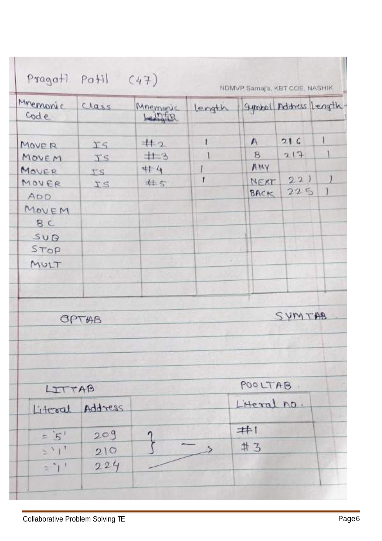| Minemonic<br>code | Class           | Mnemonic<br>Leinig | length |             | Symbol Address Length- |   |
|-------------------|-----------------|--------------------|--------|-------------|------------------------|---|
| MOVER             | IS              | #2                 | ľ      | $\sqrt{ }$  | 21C                    | ۱ |
| MOVEM             | IS              | 十一日                |        | B           | 217                    |   |
| MOVER             | <b>TS</b>       | #4                 |        | AMY         |                        |   |
| MOVER             | TS              | #5                 | Ť      | NEXT        | 221                    |   |
| <b>ADD</b>        |                 |                    |        | BACK        | 225                    | Ì |
| MOVEM             |                 |                    |        |             |                        |   |
| BC                |                 |                    |        |             |                        |   |
| SUB               |                 |                    |        |             |                        |   |
| STOP              |                 |                    |        |             |                        |   |
| MULT              |                 |                    | w      |             |                        |   |
|                   |                 |                    |        |             |                        |   |
|                   | OPTAB           |                    |        |             | SYMTAB                 |   |
|                   |                 |                    |        | POOLTAB.    |                        |   |
| LITTAB            |                 |                    |        |             |                        |   |
|                   | Literal Address |                    |        | L'Heral no. |                        |   |
| $=$ $5'$          | 209             |                    |        | #1          |                        |   |
| $2^{3}1^{1}$      | 210             |                    |        | #3          |                        |   |
| $z^*1$            | 224             |                    |        |             |                        |   |

ı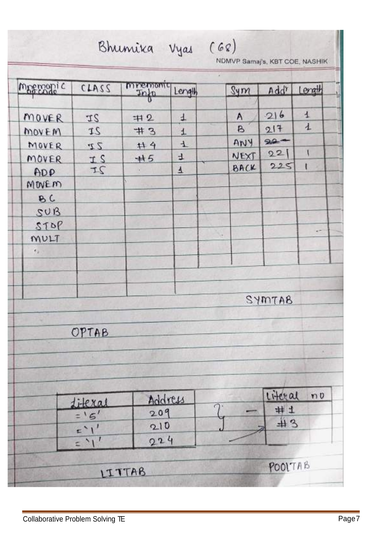| magazoni c    | CIA3S             |                  |         |                  |         |                |
|---------------|-------------------|------------------|---------|------------------|---------|----------------|
|               |                   | mpemonic<br>Info | Length  | Sym              | Addr    | Length         |
| MOVER         | IS                | 中2               | 4       | $\wedge$         | 216     | $\overline{1}$ |
| MOVEM         | 2I                | #3               | $\pm$   | $\triangleright$ | 217     | $\mathbf{1}$   |
| MOVER         | 22                | #4               | $\pm$   | ANY              | $90 -$  |                |
| MOVER         | IS                | #5               | 4       | NEXT             | 221     | N              |
| ADP           | IS                | 98               | ₹       | BACK             | 225     | t              |
| MOVEM         |                   |                  |         |                  |         |                |
| BC            |                   |                  |         |                  |         |                |
| SUB           |                   |                  |         |                  |         |                |
| STOP          |                   |                  |         |                  |         |                |
| MULT          |                   |                  |         | $\mathbb{R}^n$   |         |                |
| $r_{\rm F}$ . |                   |                  |         |                  |         |                |
|               |                   |                  |         |                  |         |                |
|               |                   |                  |         |                  |         |                |
|               |                   |                  |         |                  | SYMTAB  |                |
|               |                   |                  |         |                  |         |                |
|               | OPTAB             |                  |         |                  |         |                |
|               |                   |                  |         |                  |         |                |
|               |                   |                  |         |                  |         |                |
|               |                   |                  |         |                  |         |                |
|               |                   |                  | Address |                  | Literal | $n\nu$         |
|               | Literal           | 209              |         |                  | #1      |                |
|               | $=$ '5'           | 210              |         |                  | #3      |                |
|               | $=$ $\frac{1}{1}$ | 224              |         |                  |         |                |